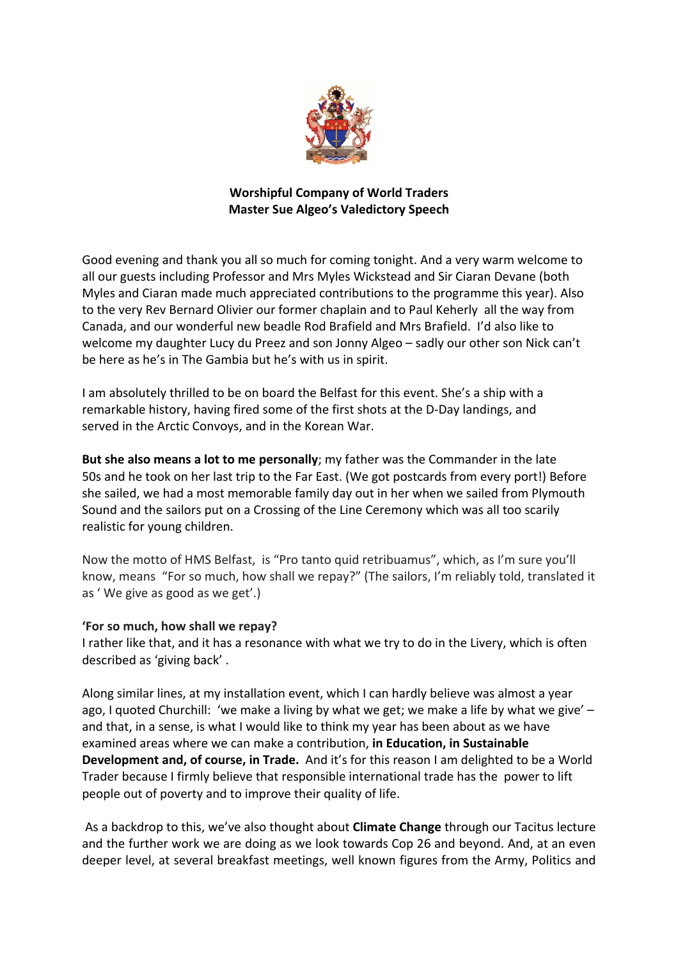

## **Worshipful Company of World Traders Master Sue Algeo's Valedictory Speech**

Good evening and thank you all so much for coming tonight. And a very warm welcome to all our guests including Professor and Mrs Myles Wickstead and Sir Ciaran Devane (both Myles and Ciaran made much appreciated contributions to the programme this year). Also to the very Rev Bernard Olivier our former chaplain and to Paul Keherly all the way from Canada, and our wonderful new beadle Rod Brafield and Mrs Brafield. I'd also like to welcome my daughter Lucy du Preez and son Jonny Algeo – sadly our other son Nick can't be here as he's in The Gambia but he's with us in spirit.

I am absolutely thrilled to be on board the Belfast for this event. She's a ship with a remarkable history, having fired some of the first shots at the D-Day landings, and served in the Arctic Convoys, and in the Korean War.

**But she also means a lot to me personally**; my father was the Commander in the late 50s and he took on her last trip to the Far East. (We got postcards from every port!) Before she sailed, we had a most memorable family day out in her when we sailed from Plymouth Sound and the sailors put on a Crossing of the Line Ceremony which was all too scarily realistic for young children.

Now the motto of HMS Belfast, is "Pro tanto quid retribuamus", which, as I'm sure you'll know, means "For so much, how shall we repay?" (The sailors, I'm reliably told, translated it as ' We give as good as we get'.)

## **'For so much, how shall we repay?**

I rather like that, and it has a resonance with what we try to do in the Livery, which is often described as 'giving back' .

Along similar lines, at my installation event, which I can hardly believe was almost a year ago, I quoted Churchill: 'we make a living by what we get; we make a life by what we give' – and that, in a sense, is what I would like to think my year has been about as we have examined areas where we can make a contribution, **in Education, in Sustainable Development and, of course, in Trade.** And it's for this reason I am delighted to be a World Trader because I firmly believe that responsible international trade has the power to lift people out of poverty and to improve their quality of life.

As a backdrop to this, we've also thought about **Climate Change** through our Tacitus lecture and the further work we are doing as we look towards Cop 26 and beyond. And, at an even deeper level, at several breakfast meetings, well known figures from the Army, Politics and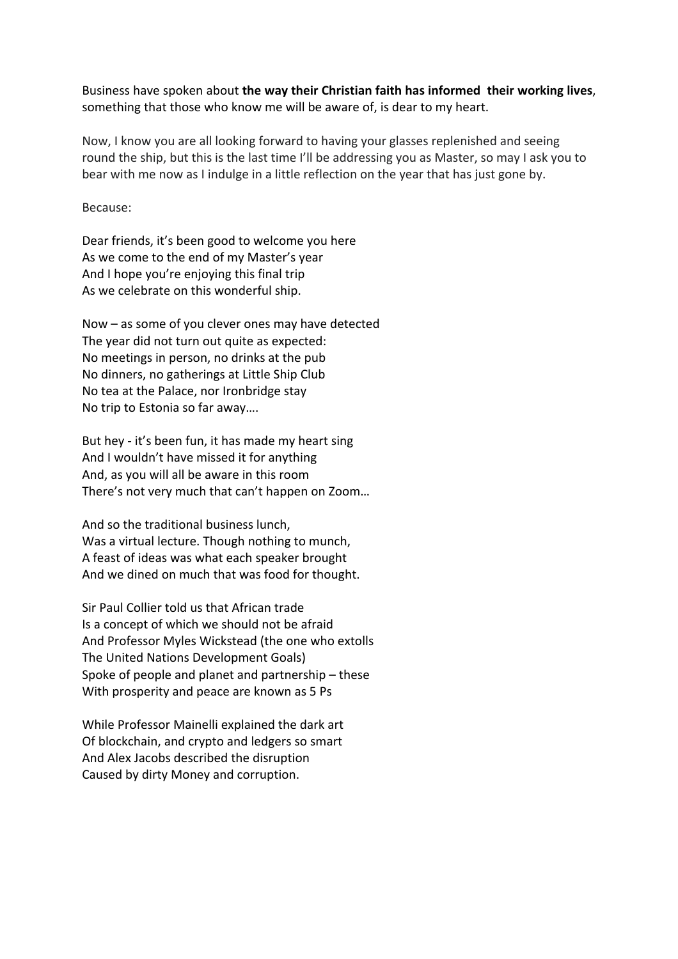Business have spoken about **the way their Christian faith has informed their working lives**, something that those who know me will be aware of, is dear to my heart.

Now, I know you are all looking forward to having your glasses replenished and seeing round the ship, but this is the last time I'll be addressing you as Master, so may I ask you to bear with me now as I indulge in a little reflection on the year that has just gone by.

Because:

Dear friends, it's been good to welcome you here As we come to the end of my Master's year And I hope you're enjoying this final trip As we celebrate on this wonderful ship.

Now – as some of you clever ones may have detected The year did not turn out quite as expected: No meetings in person, no drinks at the pub No dinners, no gatherings at Little Ship Club No tea at the Palace, nor Ironbridge stay No trip to Estonia so far away….

But hey - it's been fun, it has made my heart sing And I wouldn't have missed it for anything And, as you will all be aware in this room There's not very much that can't happen on Zoom…

And so the traditional business lunch, Was a virtual lecture. Though nothing to munch, A feast of ideas was what each speaker brought And we dined on much that was food for thought.

Sir Paul Collier told us that African trade Is a concept of which we should not be afraid And Professor Myles Wickstead (the one who extolls The United Nations Development Goals) Spoke of people and planet and partnership – these With prosperity and peace are known as 5 Ps

While Professor Mainelli explained the dark art Of blockchain, and crypto and ledgers so smart And Alex Jacobs described the disruption Caused by dirty Money and corruption.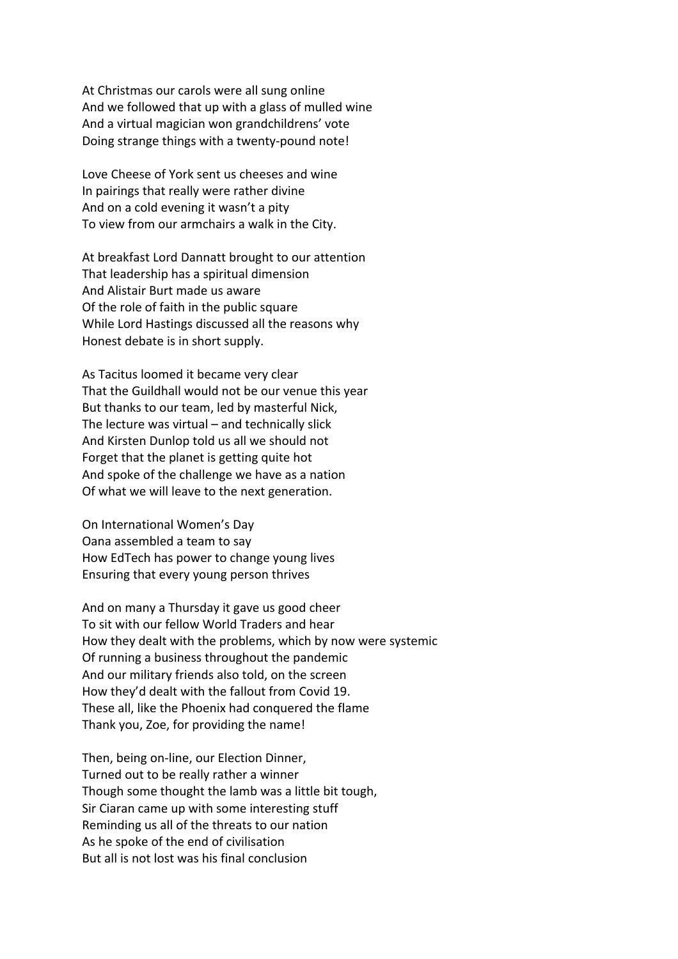At Christmas our carols were all sung online And we followed that up with a glass of mulled wine And a virtual magician won grandchildrens' vote Doing strange things with a twenty-pound note!

Love Cheese of York sent us cheeses and wine In pairings that really were rather divine And on a cold evening it wasn't a pity To view from our armchairs a walk in the City.

At breakfast Lord Dannatt brought to our attention That leadership has a spiritual dimension And Alistair Burt made us aware Of the role of faith in the public square While Lord Hastings discussed all the reasons why Honest debate is in short supply.

As Tacitus loomed it became very clear That the Guildhall would not be our venue this year But thanks to our team, led by masterful Nick, The lecture was virtual – and technically slick And Kirsten Dunlop told us all we should not Forget that the planet is getting quite hot And spoke of the challenge we have as a nation Of what we will leave to the next generation.

On International Women's Day Oana assembled a team to say How EdTech has power to change young lives Ensuring that every young person thrives

And on many a Thursday it gave us good cheer To sit with our fellow World Traders and hear How they dealt with the problems, which by now were systemic Of running a business throughout the pandemic And our military friends also told, on the screen How they'd dealt with the fallout from Covid 19. These all, like the Phoenix had conquered the flame Thank you, Zoe, for providing the name!

Then, being on-line, our Election Dinner, Turned out to be really rather a winner Though some thought the lamb was a little bit tough, Sir Ciaran came up with some interesting stuff Reminding us all of the threats to our nation As he spoke of the end of civilisation But all is not lost was his final conclusion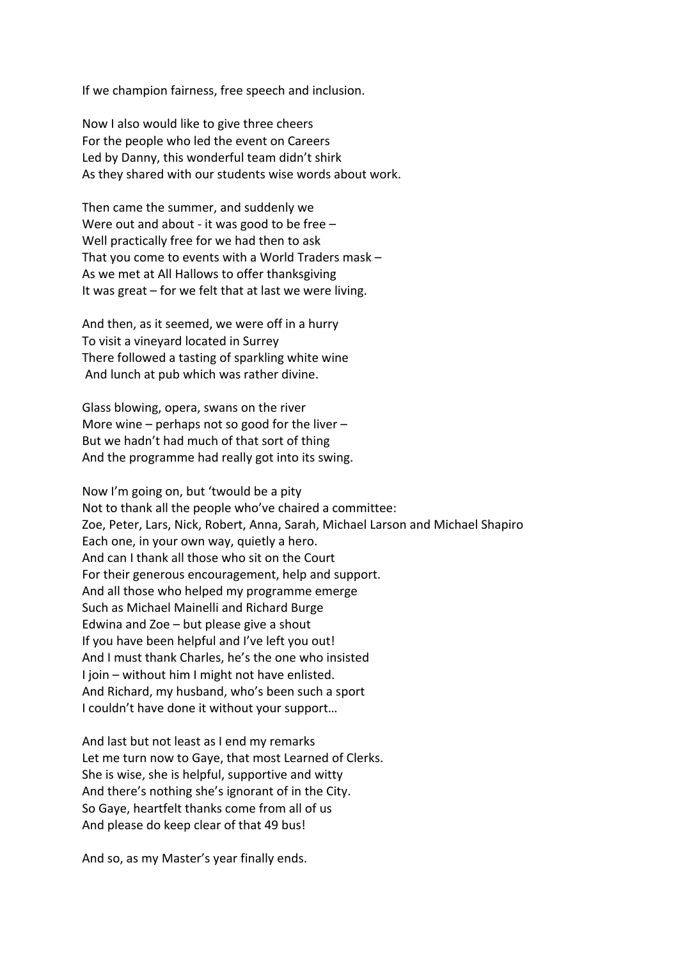If we champion fairness, free speech and inclusion.

Now I also would like to give three cheers For the people who led the event on Careers Led by Danny, this wonderful team didn't shirk As they shared with our students wise words about work.

Then came the summer, and suddenly we Were out and about - it was good to be free – Well practically free for we had then to ask That you come to events with a World Traders mask – As we met at All Hallows to offer thanksgiving It was great – for we felt that at last we were living.

And then, as it seemed, we were off in a hurry To visit a vineyard located in Surrey There followed a tasting of sparkling white wine And lunch at pub which was rather divine.

Glass blowing, opera, swans on the river More wine – perhaps not so good for the liver – But we hadn't had much of that sort of thing And the programme had really got into its swing.

Now I'm going on, but 'twould be a pity Not to thank all the people who've chaired a committee: Zoe, Peter, Lars, Nick, Robert, Anna, Sarah, Michael Larson and Michael Shapiro Each one, in your own way, quietly a hero. And can I thank all those who sit on the Court For their generous encouragement, help and support. And all those who helped my programme emerge Such as Michael Mainelli and Richard Burge Edwina and Zoe – but please give a shout If you have been helpful and I've left you out! And I must thank Charles, he's the one who insisted I join – without him I might not have enlisted. And Richard, my husband, who's been such a sport I couldn't have done it without your support…

And last but not least as I end my remarks Let me turn now to Gaye, that most Learned of Clerks. She is wise, she is helpful, supportive and witty And there's nothing she's ignorant of in the City. So Gaye, heartfelt thanks come from all of us And please do keep clear of that 49 bus!

And so, as my Master's year finally ends.